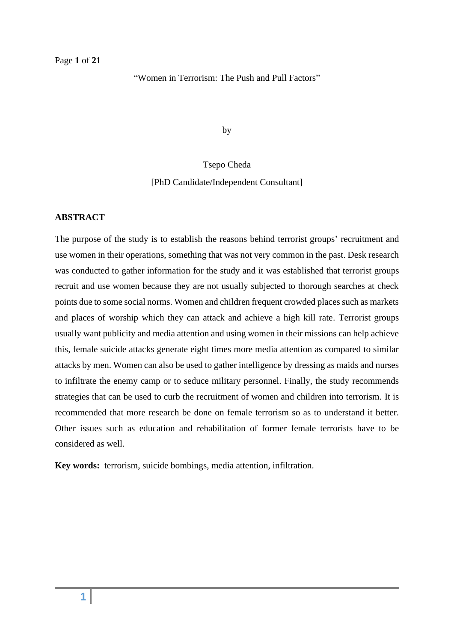"Women in Terrorism: The Push and Pull Factors"

by

### Tsepo Cheda

### [PhD Candidate/Independent Consultant]

### **ABSTRACT**

The purpose of the study is to establish the reasons behind terrorist groups' recruitment and use women in their operations, something that was not very common in the past. Desk research was conducted to gather information for the study and it was established that terrorist groups recruit and use women because they are not usually subjected to thorough searches at check points due to some social norms. Women and children frequent crowded places such as markets and places of worship which they can attack and achieve a high kill rate. Terrorist groups usually want publicity and media attention and using women in their missions can help achieve this, female suicide attacks generate eight times more media attention as compared to similar attacks by men. Women can also be used to gather intelligence by dressing as maids and nurses to infiltrate the enemy camp or to seduce military personnel. Finally, the study recommends strategies that can be used to curb the recruitment of women and children into terrorism. It is recommended that more research be done on female terrorism so as to understand it better. Other issues such as education and rehabilitation of former female terrorists have to be considered as well.

**Key words:** terrorism, suicide bombings, media attention, infiltration.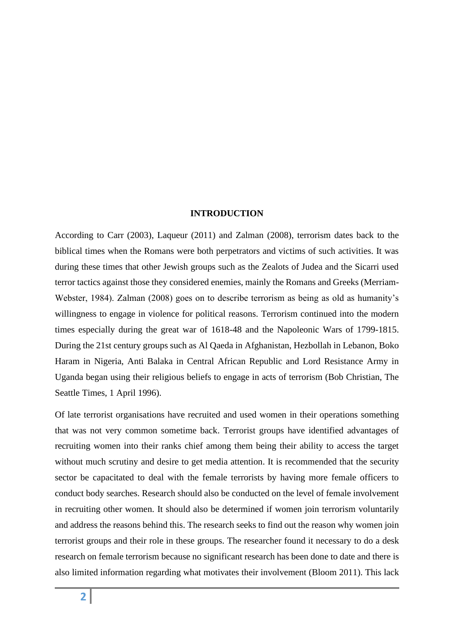#### **INTRODUCTION**

According to Carr (2003), Laqueur (2011) and Zalman (2008), terrorism dates back to the biblical times when the Romans were both perpetrators and victims of such activities. It was during these times that other Jewish groups such as the Zealots of Judea and the Sicarri used terror tactics against those they considered enemies, mainly the Romans and Greeks (Merriam-Webster, 1984). Zalman (2008) goes on to describe terrorism as being as old as humanity's willingness to engage in violence for political reasons. Terrorism continued into the modern times especially during the great war of 1618-48 and the Napoleonic Wars of 1799-1815. During the 21st century groups such as Al Qaeda in Afghanistan, Hezbollah in Lebanon, Boko Haram in Nigeria, Anti Balaka in Central African Republic and Lord Resistance Army in Uganda began using their religious beliefs to engage in acts of terrorism (Bob Christian, The Seattle Times, 1 April 1996).

Of late terrorist organisations have recruited and used women in their operations something that was not very common sometime back. Terrorist groups have identified advantages of recruiting women into their ranks chief among them being their ability to access the target without much scrutiny and desire to get media attention. It is recommended that the security sector be capacitated to deal with the female terrorists by having more female officers to conduct body searches. Research should also be conducted on the level of female involvement in recruiting other women. It should also be determined if women join terrorism voluntarily and address the reasons behind this. The research seeks to find out the reason why women join terrorist groups and their role in these groups. The researcher found it necessary to do a desk research on female terrorism because no significant research has been done to date and there is also limited information regarding what motivates their involvement (Bloom 2011). This lack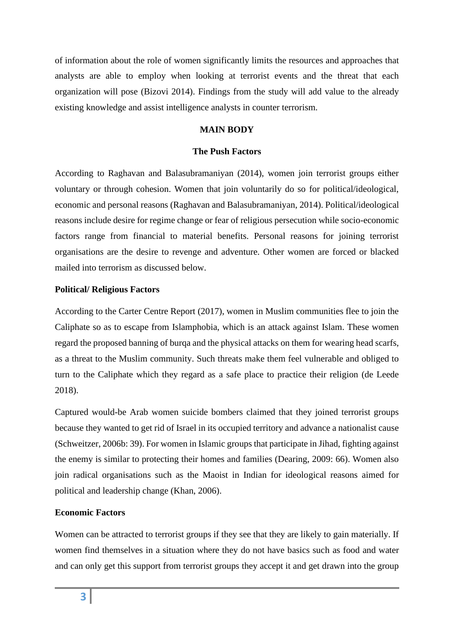of information about the role of women significantly limits the resources and approaches that analysts are able to employ when looking at terrorist events and the threat that each organization will pose (Bizovi 2014). Findings from the study will add value to the already existing knowledge and assist intelligence analysts in counter terrorism.

# **MAIN BODY**

# **The Push Factors**

According to Raghavan and Balasubramaniyan (2014), women join terrorist groups either voluntary or through cohesion. Women that join voluntarily do so for political/ideological, economic and personal reasons (Raghavan and Balasubramaniyan, 2014). Political/ideological reasons include desire for regime change or fear of religious persecution while socio-economic factors range from financial to material benefits. Personal reasons for joining terrorist organisations are the desire to revenge and adventure. Other women are forced or blacked mailed into terrorism as discussed below.

# **Political/ Religious Factors**

According to the Carter Centre Report (2017), women in Muslim communities flee to join the Caliphate so as to escape from Islamphobia, which is an attack against Islam. These women regard the proposed banning of burqa and the physical attacks on them for wearing head scarfs, as a threat to the Muslim community. Such threats make them feel vulnerable and obliged to turn to the Caliphate which they regard as a safe place to practice their religion (de Leede 2018).

Captured would-be Arab women suicide bombers claimed that they joined terrorist groups because they wanted to get rid of Israel in its occupied territory and advance a nationalist cause (Schweitzer, 2006b: 39). For women in Islamic groups that participate in Jihad, fighting against the enemy is similar to protecting their homes and families (Dearing, 2009: 66). Women also join radical organisations such as the Maoist in Indian for ideological reasons aimed for political and leadership change (Khan, 2006).

# **Economic Factors**

Women can be attracted to terrorist groups if they see that they are likely to gain materially. If women find themselves in a situation where they do not have basics such as food and water and can only get this support from terrorist groups they accept it and get drawn into the group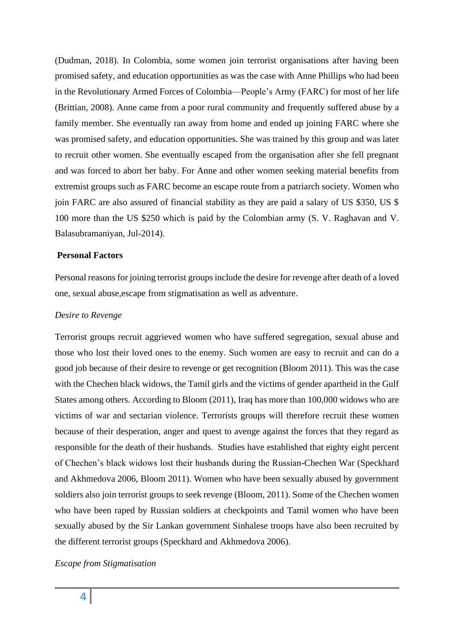(Dudman, 2018). In Colombia, some women join terrorist organisations after having been promised safety, and education opportunities as was the case with Anne Phillips who had been in the Revolutionary Armed Forces of Colombia—People's Army (FARC) for most of her life (Brittian, 2008). Anne came from a poor rural community and frequently suffered abuse by a family member. She eventually ran away from home and ended up joining FARC where she was promised safety, and education opportunities. She was trained by this group and was later to recruit other women. She eventually escaped from the organisation after she fell pregnant and was forced to abort her baby. For Anne and other women seeking material benefits from extremist groups such as FARC become an escape route from a patriarch society. Women who join FARC are also assured of financial stability as they are paid a salary of US \$350, US \$ 100 more than the US \$250 which is paid by the Colombian army (S. V. Raghavan and V. Balasubramaniyan, Jul-2014).

# **Personal Factors**

Personal reasons for joining terrorist groups include the desire for revenge after death of a loved one, sexual abuse,escape from stigmatisation as well as adventure.

#### *Desire to Revenge*

Terrorist groups recruit aggrieved women who have suffered segregation, sexual abuse and those who lost their loved ones to the enemy. Such women are easy to recruit and can do a good job because of their desire to revenge or get recognition (Bloom 2011). This was the case with the Chechen black widows, the Tamil girls and the victims of gender apartheid in the Gulf States among others. According to Bloom (2011), Iraq has more than 100,000 widows who are victims of war and sectarian violence. Terrorists groups will therefore recruit these women because of their desperation, anger and quest to avenge against the forces that they regard as responsible for the death of their husbands. Studies have established that eighty eight percent of Chechen's black widows lost their husbands during the Russian-Chechen War (Speckhard and Akhmedova 2006, Bloom 2011). Women who have been sexually abused by government soldiers also join terrorist groups to seek revenge (Bloom, 2011). Some of the Chechen women who have been raped by Russian soldiers at checkpoints and Tamil women who have been sexually abused by the Sir Lankan government Sinhalese troops have also been recruited by the different terrorist groups (Speckhard and Akhmedova 2006).

### *Escape from Stigmatisation*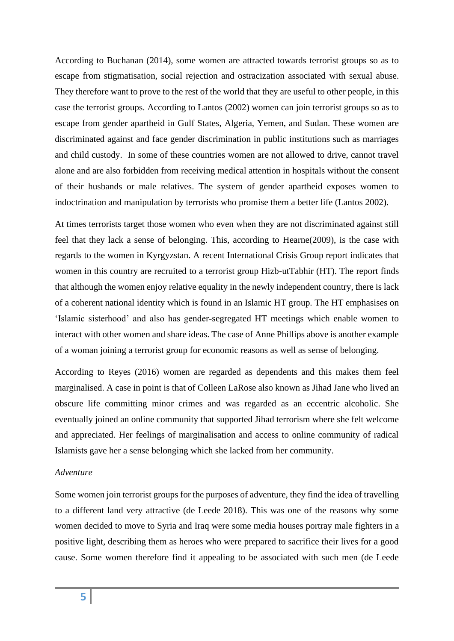According to Buchanan (2014), some women are attracted towards terrorist groups so as to escape from stigmatisation, social rejection and ostracization associated with sexual abuse. They therefore want to prove to the rest of the world that they are useful to other people, in this case the terrorist groups. According to Lantos (2002) women can join terrorist groups so as to escape from gender apartheid in Gulf States, Algeria, Yemen, and Sudan. These women are discriminated against and face gender discrimination in public institutions such as marriages and child custody. In some of these countries women are not allowed to drive, cannot travel alone and are also forbidden from receiving medical attention in hospitals without the consent of their husbands or male relatives. The system of gender apartheid exposes women to indoctrination and manipulation by terrorists who promise them a better life (Lantos 2002).

At times terrorists target those women who even when they are not discriminated against still feel that they lack a sense of belonging. This, according to Hearne(2009), is the case with regards to the women in Kyrgyzstan. A recent International Crisis Group report indicates that women in this country are recruited to a terrorist group Hizb-utTabhir (HT). The report finds that although the women enjoy relative equality in the newly independent country, there is lack of a coherent national identity which is found in an Islamic HT group. The HT emphasises on 'Islamic sisterhood' and also has gender-segregated HT meetings which enable women to interact with other women and share ideas. The case of Anne Phillips above is another example of a woman joining a terrorist group for economic reasons as well as sense of belonging.

According to Reyes (2016) women are regarded as dependents and this makes them feel marginalised. A case in point is that of Colleen LaRose also known as Jihad Jane who lived an obscure life committing minor crimes and was regarded as an eccentric alcoholic. She eventually joined an online community that supported Jihad terrorism where she felt welcome and appreciated. Her feelings of marginalisation and access to online community of radical Islamists gave her a sense belonging which she lacked from her community.

### *Adventure*

Some women join terrorist groups for the purposes of adventure, they find the idea of travelling to a different land very attractive (de Leede 2018). This was one of the reasons why some women decided to move to Syria and Iraq were some media houses portray male fighters in a positive light, describing them as heroes who were prepared to sacrifice their lives for a good cause. Some women therefore find it appealing to be associated with such men (de Leede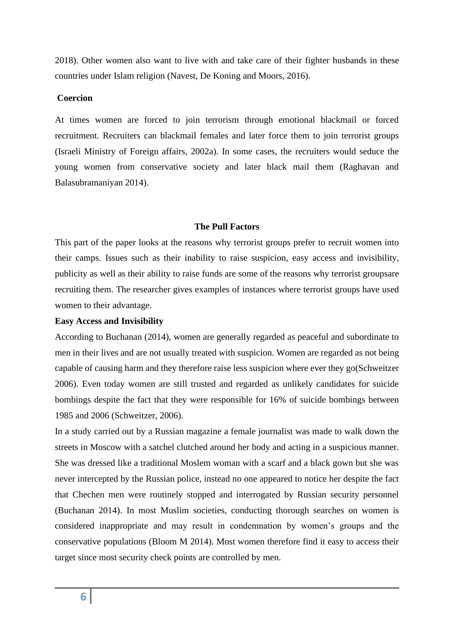2018). Other women also want to live with and take care of their fighter husbands in these countries under Islam religion (Navest, De Koning and Moors, 2016).

# **Coercion**

At times women are forced to join terrorism through emotional blackmail or forced recruitment. Recruiters can blackmail females and later force them to join terrorist groups (Israeli Ministry of Foreign affairs, 2002a). In some cases, the recruiters would seduce the young women from conservative society and later black mail them (Raghavan and Balasubramaniyan 2014).

### **The Pull Factors**

This part of the paper looks at the reasons why terrorist groups prefer to recruit women into their camps. Issues such as their inability to raise suspicion, easy access and invisibility, publicity as well as their ability to raise funds are some of the reasons why terrorist groupsare recruiting them. The researcher gives examples of instances where terrorist groups have used women to their advantage.

### **Easy Access and Invisibility**

According to Buchanan (2014), women are generally regarded as peaceful and subordinate to men in their lives and are not usually treated with suspicion. Women are regarded as not being capable of causing harm and they therefore raise less suspicion where ever they go(Schweitzer 2006). Even today women are still trusted and regarded as unlikely candidates for suicide bombings despite the fact that they were responsible for 16% of suicide bombings between 1985 and 2006 (Schweitzer, 2006).

In a study carried out by a Russian magazine a female journalist was made to walk down the streets in Moscow with a satchel clutched around her body and acting in a suspicious manner. She was dressed like a traditional Moslem woman with a scarf and a black gown but she was never intercepted by the Russian police, instead no one appeared to notice her despite the fact that Chechen men were routinely stopped and interrogated by Russian security personnel (Buchanan 2014). In most Muslim societies, conducting thorough searches on women is considered inappropriate and may result in condemnation by women's groups and the conservative populations (Bloom M 2014). Most women therefore find it easy to access their target since most security check points are controlled by men.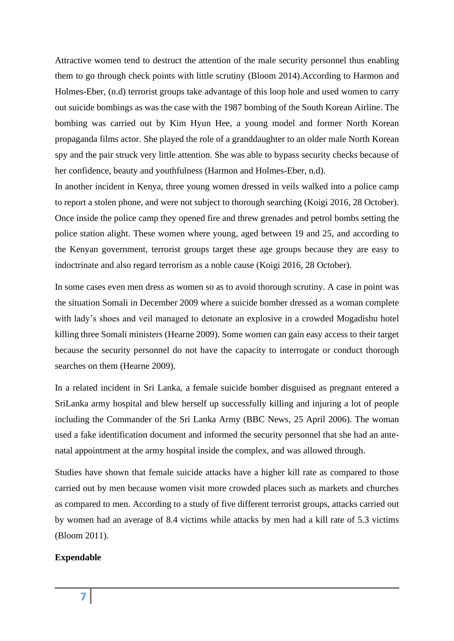Attractive women tend to destruct the attention of the male security personnel thus enabling them to go through check points with little scrutiny (Bloom 2014).According to Harmon and Holmes-Eber, (n.d) terrorist groups take advantage of this loop hole and used women to carry out suicide bombings as was the case with the 1987 bombing of the South Korean Airline. The bombing was carried out by Kim Hyun Hee, a young model and former North Korean propaganda films actor. She played the role of a granddaughter to an older male North Korean spy and the pair struck very little attention. She was able to bypass security checks because of her confidence, beauty and youthfulness (Harmon and Holmes-Eber, n.d).

In another incident in Kenya, three young women dressed in veils walked into a police camp to report a stolen phone, and were not subject to thorough searching (Koigi 2016, 28 October). Once inside the police camp they opened fire and threw grenades and petrol bombs setting the police station alight. These women where young, aged between 19 and 25, and according to the Kenyan government, terrorist groups target these age groups because they are easy to indoctrinate and also regard terrorism as a noble cause (Koigi 2016, 28 October).

In some cases even men dress as women so as to avoid thorough scrutiny. A case in point was the situation Somali in December 2009 where a suicide bomber dressed as a woman complete with lady's shoes and veil managed to detonate an explosive in a crowded Mogadishu hotel killing three Somali ministers (Hearne 2009). Some women can gain easy access to their target because the security personnel do not have the capacity to interrogate or conduct thorough searches on them (Hearne 2009).

In a related incident in Sri Lanka, a female suicide bomber disguised as pregnant entered a SriLanka army hospital and blew herself up successfully killing and injuring a lot of people including the Commander of the Sri Lanka Army (BBC News, 25 April 2006). The woman used a fake identification document and informed the security personnel that she had an antenatal appointment at the army hospital inside the complex, and was allowed through.

Studies have shown that female suicide attacks have a higher kill rate as compared to those carried out by men because women visit more crowded places such as markets and churches as compared to men. According to a study of five different terrorist groups, attacks carried out by women had an average of 8.4 victims while attacks by men had a kill rate of 5.3 victims (Bloom 2011).

### **Expendable**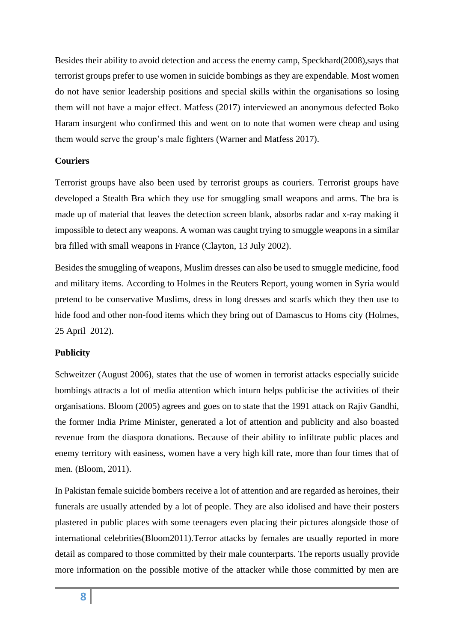Besides their ability to avoid detection and access the enemy camp, Speckhard(2008),says that terrorist groups prefer to use women in suicide bombings as they are expendable. Most women do not have senior leadership positions and special skills within the organisations so losing them will not have a major effect. Matfess (2017) interviewed an anonymous defected Boko Haram insurgent who confirmed this and went on to note that women were cheap and using them would serve the group's male fighters (Warner and Matfess 2017).

# **Couriers**

Terrorist groups have also been used by terrorist groups as couriers. Terrorist groups have developed a Stealth Bra which they use for smuggling small weapons and arms. The bra is made up of material that leaves the detection screen blank, absorbs radar and x-ray making it impossible to detect any weapons. A woman was caught trying to smuggle weapons in a similar bra filled with small weapons in France (Clayton, 13 July 2002).

Besides the smuggling of weapons, Muslim dresses can also be used to smuggle medicine, food and military items. According to Holmes in the Reuters Report, young women in Syria would pretend to be conservative Muslims, dress in long dresses and scarfs which they then use to hide food and other non-food items which they bring out of Damascus to Homs city (Holmes, 25 April 2012).

# **Publicity**

Schweitzer (August 2006), states that the use of women in terrorist attacks especially suicide bombings attracts a lot of media attention which inturn helps publicise the activities of their organisations. Bloom (2005) agrees and goes on to state that the 1991 attack on Rajiv Gandhi, the former India Prime Minister, generated a lot of attention and publicity and also boasted revenue from the diaspora donations. Because of their ability to infiltrate public places and enemy territory with easiness, women have a very high kill rate, more than four times that of men. (Bloom, 2011).

In Pakistan female suicide bombers receive a lot of attention and are regarded as heroines, their funerals are usually attended by a lot of people. They are also idolised and have their posters plastered in public places with some teenagers even placing their pictures alongside those of international celebrities(Bloom2011).Terror attacks by females are usually reported in more detail as compared to those committed by their male counterparts. The reports usually provide more information on the possible motive of the attacker while those committed by men are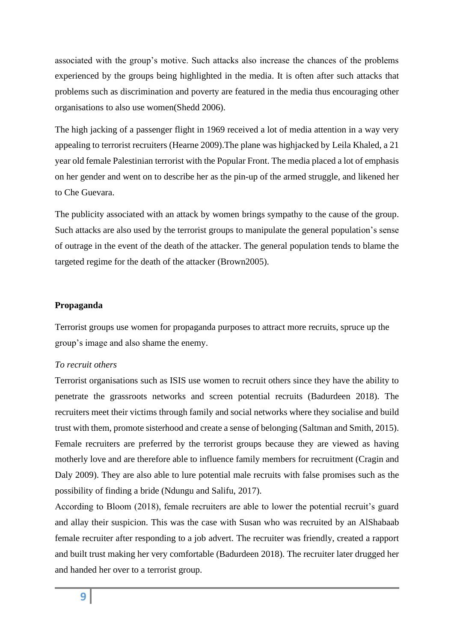associated with the group's motive. Such attacks also increase the chances of the problems experienced by the groups being highlighted in the media. It is often after such attacks that problems such as discrimination and poverty are featured in the media thus encouraging other organisations to also use women(Shedd 2006).

The high jacking of a passenger flight in 1969 received a lot of media attention in a way very appealing to terrorist recruiters (Hearne 2009).The plane was highjacked by Leila Khaled, a 21 year old female Palestinian terrorist with the Popular Front. The media placed a lot of emphasis on her gender and went on to describe her as the pin-up of the armed struggle, and likened her to Che Guevara.

The publicity associated with an attack by women brings sympathy to the cause of the group. Such attacks are also used by the terrorist groups to manipulate the general population's sense of outrage in the event of the death of the attacker. The general population tends to blame the targeted regime for the death of the attacker (Brown2005).

### **Propaganda**

Terrorist groups use women for propaganda purposes to attract more recruits, spruce up the group's image and also shame the enemy.

# *To recruit others*

Terrorist organisations such as ISIS use women to recruit others since they have the ability to penetrate the grassroots networks and screen potential recruits (Badurdeen 2018). The recruiters meet their victims through family and social networks where they socialise and build trust with them, promote sisterhood and create a sense of belonging (Saltman and Smith, 2015). Female recruiters are preferred by the terrorist groups because they are viewed as having motherly love and are therefore able to influence family members for recruitment (Cragin and Daly 2009). They are also able to lure potential male recruits with false promises such as the possibility of finding a bride (Ndungu and Salifu, 2017).

According to Bloom (2018), female recruiters are able to lower the potential recruit's guard and allay their suspicion. This was the case with Susan who was recruited by an AlShabaab female recruiter after responding to a job advert. The recruiter was friendly, created a rapport and built trust making her very comfortable (Badurdeen 2018). The recruiter later drugged her and handed her over to a terrorist group.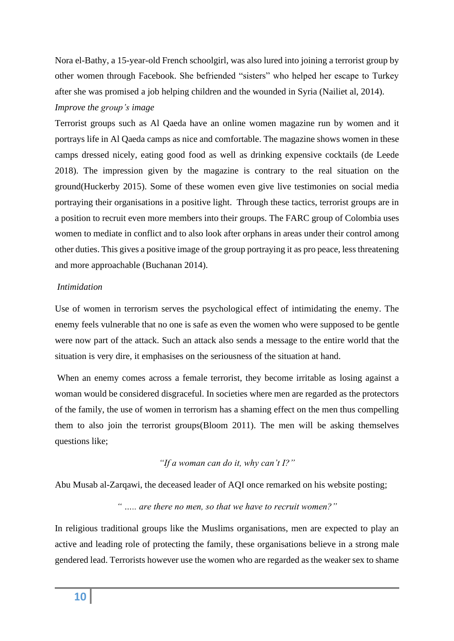Nora el-Bathy, a 15-year-old French schoolgirl, was also lured into joining a terrorist group by other women through Facebook. She befriended "sisters" who helped her escape to Turkey after she was promised a job helping children and the wounded in Syria (Nailiet al, 2014).

# *Improve the group's image*

Terrorist groups such as Al Qaeda have an online women magazine run by women and it portrays life in Al Qaeda camps as nice and comfortable. The magazine shows women in these camps dressed nicely, eating good food as well as drinking expensive cocktails (de Leede 2018). The impression given by the magazine is contrary to the real situation on the ground(Huckerby 2015). Some of these women even give live testimonies on social media portraying their organisations in a positive light. Through these tactics, terrorist groups are in a position to recruit even more members into their groups. The FARC group of Colombia uses women to mediate in conflict and to also look after orphans in areas under their control among other duties. This gives a positive image of the group portraying it as pro peace, less threatening and more approachable (Buchanan 2014).

# *Intimidation*

Use of women in terrorism serves the psychological effect of intimidating the enemy. The enemy feels vulnerable that no one is safe as even the women who were supposed to be gentle were now part of the attack. Such an attack also sends a message to the entire world that the situation is very dire, it emphasises on the seriousness of the situation at hand.

When an enemy comes across a female terrorist, they become irritable as losing against a woman would be considered disgraceful. In societies where men are regarded as the protectors of the family, the use of women in terrorism has a shaming effect on the men thus compelling them to also join the terrorist groups(Bloom 2011). The men will be asking themselves questions like;

# *"If a woman can do it, why can't I?"*

Abu Musab al-Zarqawi, the deceased leader of AQI once remarked on his website posting;

*" ….. are there no men, so that we have to recruit women?"*

In religious traditional groups like the Muslims organisations, men are expected to play an active and leading role of protecting the family, these organisations believe in a strong male gendered lead. Terrorists however use the women who are regarded as the weaker sex to shame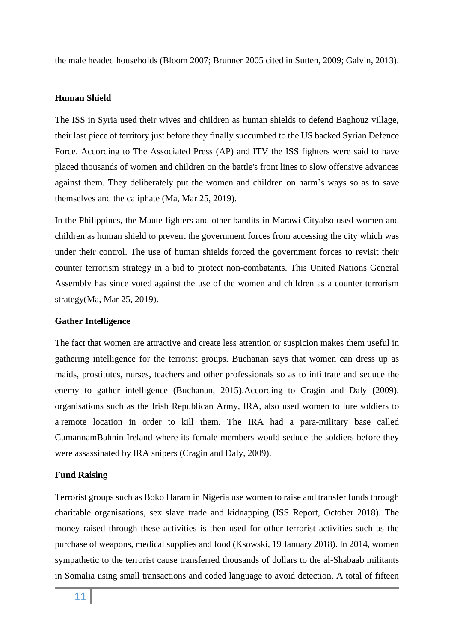the male headed households (Bloom 2007; Brunner 2005 cited in Sutten, 2009; Galvin, 2013).

# **Human Shield**

The ISS in Syria used their wives and children as human shields to defend Baghouz village, their last piece of territory just before they finally succumbed to the US backed Syrian Defence Force. According to The Associated Press (AP) and ITV the ISS fighters were said to have placed thousands of women and children on the battle's front lines to slow offensive advances against them. They deliberately put the women and children on harm's ways so as to save themselves and the caliphate (Ma, Mar 25, 2019).

In the Philippines, the Maute fighters and other bandits in Marawi Cityalso used women and children as human shield to prevent the government forces from accessing the city which was under their control. The use of human shields forced the government forces to revisit their counter terrorism strategy in a bid to protect non-combatants. This United Nations General Assembly has since voted against the use of the women and children as a counter terrorism strategy(Ma, Mar 25, 2019).

#### **Gather Intelligence**

The fact that women are attractive and create less attention or suspicion makes them useful in gathering intelligence for the terrorist groups. Buchanan says that women can dress up as maids, prostitutes, nurses, teachers and other professionals so as to infiltrate and seduce the enemy to gather intelligence (Buchanan, 2015).According to Cragin and Daly (2009), organisations such as the Irish Republican Army, IRA, also used women to lure soldiers to a remote location in order to kill them. The IRA had a para-military base called CumannamBahnin Ireland where its female members would seduce the soldiers before they were assassinated by IRA snipers (Cragin and Daly, 2009).

#### **Fund Raising**

Terrorist groups such as Boko Haram in Nigeria use women to raise and transfer funds through charitable organisations, sex slave trade and kidnapping (ISS Report, October 2018). The money raised through these activities is then used for other terrorist activities such as the purchase of weapons, medical supplies and food (Ksowski, 19 January 2018). In 2014, women sympathetic to the terrorist cause transferred thousands of dollars to the al-Shabaab militants in Somalia using small transactions and coded language to avoid detection. A total of fifteen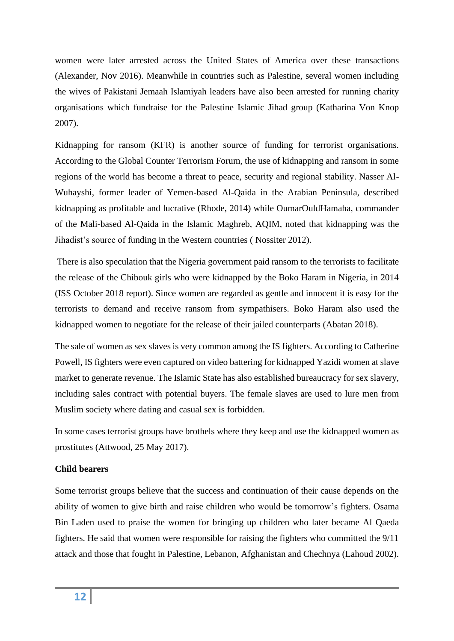women were later arrested across the United States of America over these transactions (Alexander, Nov 2016). Meanwhile in countries such as Palestine, several women including the wives of Pakistani Jemaah Islamiyah leaders have also been arrested for running charity organisations which fundraise for the Palestine Islamic Jihad group (Katharina Von Knop 2007).

Kidnapping for ransom (KFR) is another source of funding for terrorist organisations. According to the Global Counter Terrorism Forum, the use of kidnapping and ransom in some regions of the world has become a threat to peace, security and regional stability. Nasser Al-Wuhayshi, former leader of Yemen-based Al-Qaida in the Arabian Peninsula, described kidnapping as profitable and lucrative (Rhode, 2014) while OumarOuldHamaha, commander of the Mali-based Al-Qaida in the Islamic Maghreb, AQIM, noted that kidnapping was the Jihadist's source of funding in the Western countries ( Nossiter 2012).

There is also speculation that the Nigeria government paid ransom to the terrorists to facilitate the release of the Chibouk girls who were kidnapped by the Boko Haram in Nigeria, in 2014 (ISS October 2018 report). Since women are regarded as gentle and innocent it is easy for the terrorists to demand and receive ransom from sympathisers. Boko Haram also used the kidnapped women to negotiate for the release of their jailed counterparts (Abatan 2018).

The sale of women as sex slaves is very common among the IS fighters. According to Catherine Powell, IS fighters were even captured on video battering for kidnapped Yazidi women at slave market to generate revenue. The Islamic State has also established bureaucracy for sex slavery, including sales contract with potential buyers. The female slaves are used to lure men from Muslim society where dating and casual sex is forbidden.

In some cases terrorist groups have brothels where they keep and use the kidnapped women as prostitutes (Attwood, 25 May 2017).

# **Child bearers**

Some terrorist groups believe that the success and continuation of their cause depends on the ability of women to give birth and raise children who would be tomorrow's fighters. Osama Bin Laden used to praise the women for bringing up children who later became Al Qaeda fighters. He said that women were responsible for raising the fighters who committed the 9/11 attack and those that fought in Palestine, Lebanon, Afghanistan and Chechnya (Lahoud 2002).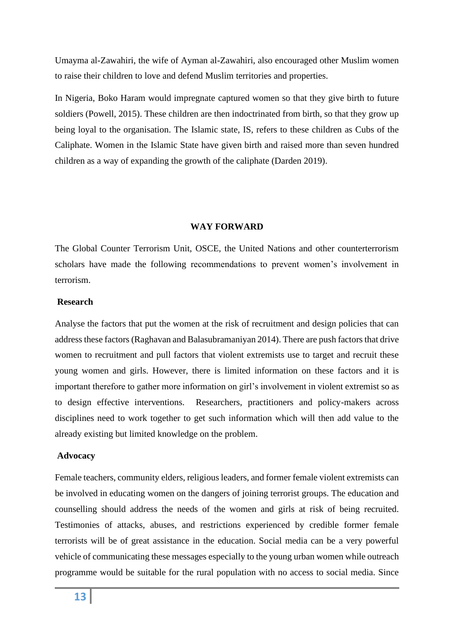Umayma al-Zawahiri, the wife of Ayman al-Zawahiri, also encouraged other Muslim women to raise their children to love and defend Muslim territories and properties.

In Nigeria, Boko Haram would impregnate captured women so that they give birth to future soldiers (Powell, 2015). These children are then indoctrinated from birth, so that they grow up being loyal to the organisation. The Islamic state, IS, refers to these children as Cubs of the Caliphate. Women in the Islamic State have given birth and raised more than seven hundred children as a way of expanding the growth of the caliphate (Darden 2019).

# **WAY FORWARD**

The Global Counter Terrorism Unit, OSCE, the United Nations and other counterterrorism scholars have made the following recommendations to prevent women's involvement in terrorism.

### **Research**

Analyse the factors that put the women at the risk of recruitment and design policies that can address these factors (Raghavan and Balasubramaniyan 2014). There are push factors that drive women to recruitment and pull factors that violent extremists use to target and recruit these young women and girls. However, there is limited information on these factors and it is important therefore to gather more information on girl's involvement in violent extremist so as to design effective interventions. Researchers, practitioners and policy-makers across disciplines need to work together to get such information which will then add value to the already existing but limited knowledge on the problem.

#### **Advocacy**

Female teachers, community elders, religious leaders, and former female violent extremists can be involved in educating women on the dangers of joining terrorist groups. The education and counselling should address the needs of the women and girls at risk of being recruited. Testimonies of attacks, abuses, and restrictions experienced by credible former female terrorists will be of great assistance in the education. Social media can be a very powerful vehicle of communicating these messages especially to the young urban women while outreach programme would be suitable for the rural population with no access to social media. Since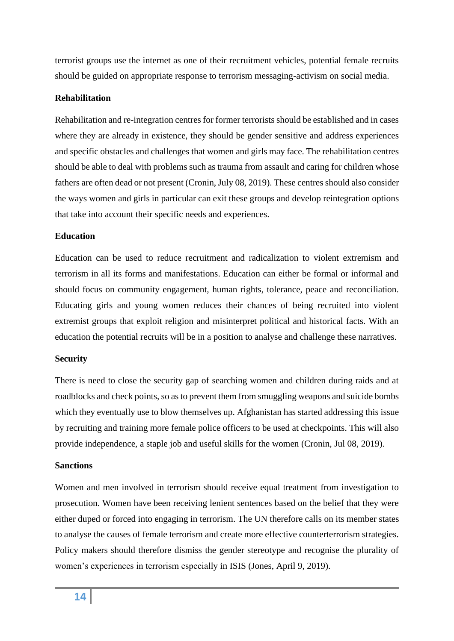terrorist groups use the internet as one of their recruitment vehicles, potential female recruits should be guided on appropriate response to terrorism messaging-activism on social media.

# **Rehabilitation**

Rehabilitation and re-integration centres for former terrorists should be established and in cases where they are already in existence, they should be gender sensitive and address experiences and specific obstacles and challenges that women and girls may face. The rehabilitation centres should be able to deal with problems such as trauma from assault and caring for children whose fathers are often dead or not present (Cronin, July 08, 2019). These centres should also consider the ways women and girls in particular can exit these groups and develop reintegration options that take into account their specific needs and experiences.

# **Education**

Education can be used to reduce recruitment and radicalization to violent extremism and terrorism in all its forms and manifestations. Education can either be formal or informal and should focus on community engagement, human rights, tolerance, peace and reconciliation. Educating girls and young women reduces their chances of being recruited into violent extremist groups that exploit religion and misinterpret political and historical facts. With an education the potential recruits will be in a position to analyse and challenge these narratives.

# **Security**

There is need to close the security gap of searching women and children during raids and at roadblocks and check points, so as to prevent them from smuggling weapons and suicide bombs which they eventually use to blow themselves up. Afghanistan has started addressing this issue by recruiting and training more female police officers to be used at checkpoints. This will also provide independence, a staple job and useful skills for the women (Cronin, Jul 08, 2019).

# **Sanctions**

Women and men involved in terrorism should receive equal treatment from investigation to prosecution. Women have been receiving lenient sentences based on the belief that they were either duped or forced into engaging in terrorism. The UN therefore calls on its member states to analyse the causes of female terrorism and create more effective counterterrorism strategies. Policy makers should therefore dismiss the gender stereotype and recognise the plurality of women's experiences in terrorism especially in ISIS (Jones, April 9, 2019).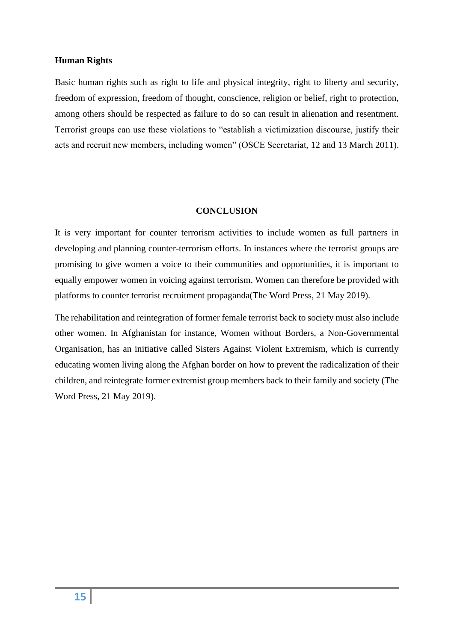# **Human Rights**

Basic human rights such as right to life and physical integrity, right to liberty and security, freedom of expression, freedom of thought, conscience, religion or belief, right to protection, among others should be respected as failure to do so can result in alienation and resentment. Terrorist groups can use these violations to "establish a victimization discourse, justify their acts and recruit new members, including women" (OSCE Secretariat, 12 and 13 March 2011).

#### **CONCLUSION**

It is very important for counter terrorism activities to include women as full partners in developing and planning counter-terrorism efforts. In instances where the terrorist groups are promising to give women a voice to their communities and opportunities, it is important to equally empower women in voicing against terrorism. Women can therefore be provided with platforms to counter terrorist recruitment propaganda(The Word Press, 21 May 2019).

The rehabilitation and reintegration of former female terrorist back to society must also include other women. In Afghanistan for instance, Women without Borders, a Non-Governmental Organisation, has an initiative called Sisters Against Violent Extremism, which is currently educating women living along the Afghan border on how to prevent the radicalization of their children, and reintegrate former extremist group members back to their family and society (The Word Press, 21 May 2019).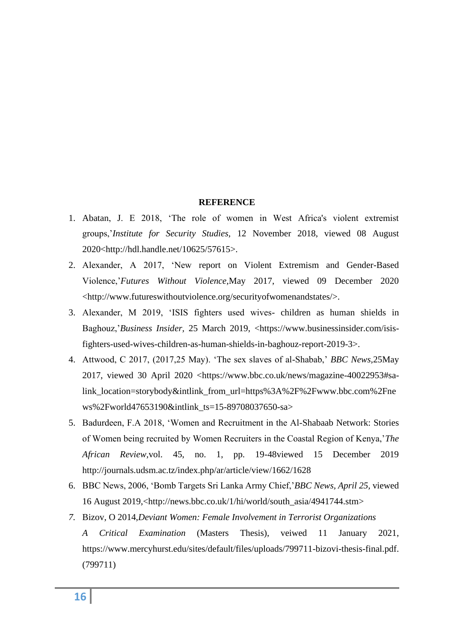# **REFERENCE**

- 1. Abatan, J. E 2018, 'The role of women in West Africa's violent extremist groups,'*Institute for Security Studies,* 12 November 2018, viewed 08 August 2020[<http://hdl.handle.net/10625/57615>](http://hdl.handle.net/10625/57615).
- 2. Alexander, A 2017, 'New report on Violent Extremism and Gender-Based Violence,'*Futures Without Violence,*May 2017, viewed 09 December 2020 [<http://www.futureswithoutviolence.org/securityofwomenandstates/>](http://www.futureswithoutviolence.org/securityofwomenandstates/).
- 3. Alexander, M 2019, 'ISIS fighters used wives- children as human shields in Baghouz,'*Business Insider,* 25 March 2019, [<https://www.businessinsider.com/isis](https://www.businessinsider.com/isis-fighters-used-wives-children-as-human-shields-in-baghouz-report-2019-3)[fighters-used-wives-children-as-human-shields-in-baghouz-report-2019-3>](https://www.businessinsider.com/isis-fighters-used-wives-children-as-human-shields-in-baghouz-report-2019-3).
- 4. Attwood, C 2017, (2017,25 May). 'The sex slaves of al-Shabab,' *BBC News,*25May 2017, viewed 30 April 2020 [<https://www.bbc.co.uk/news/magazine-40022953#sa](https://www.bbc.co.uk/news/magazine-40022953#sa-link_location=story-body&intlink_from_url=https%3A%2F%2Fwww.bbc.com%2Fnews%2Fworld47653190&intlink_ts=15-89708037650-sa)[link\\_location=storybody&intlink\\_from\\_url=https%3A%2F%2Fwww.bbc.com%2Fne](https://www.bbc.co.uk/news/magazine-40022953#sa-link_location=story-body&intlink_from_url=https%3A%2F%2Fwww.bbc.com%2Fnews%2Fworld47653190&intlink_ts=15-89708037650-sa) [ws%2Fworld47653190&intlink\\_ts=15-89708037650-sa>](https://www.bbc.co.uk/news/magazine-40022953#sa-link_location=story-body&intlink_from_url=https%3A%2F%2Fwww.bbc.com%2Fnews%2Fworld47653190&intlink_ts=15-89708037650-sa)
- 5. Badurdeen, F.A 2018, 'Women and Recruitment in the Al-Shabaab Network: Stories of Women being recruited by Women Recruiters in the Coastal Region of Kenya,'*The African Review,*vol. 45, no. 1, pp. 19-48viewed 15 December 2019 <http://journals.udsm.ac.tz/index.php/ar/article/view/1662/1628>
- 6. BBC News, 2006, 'Bomb Targets Sri Lanka Army Chief,'*BBC News, April 25,* viewed 16 August 2019,[<http://news.bbc.co.uk/1/hi/world/south\\_asia/4941744.stm>](http://news.bbc.co.uk/1/hi/world/south_asia/4941744.stm)
- *7.* Bizov, O 2014,*Deviant Women: Female Involvement in Terrorist Organizations A Critical Examination* (Masters Thesis), veiwed 11 January 2021, [https://www.mercyhurst.edu/sites/default/files/uploads/799711-bizovi-thesis-final.pdf.](https://www.mercyhurst.edu/sites/default/files/uploads/799711-bizovi-thesis-final.pdf) (799711)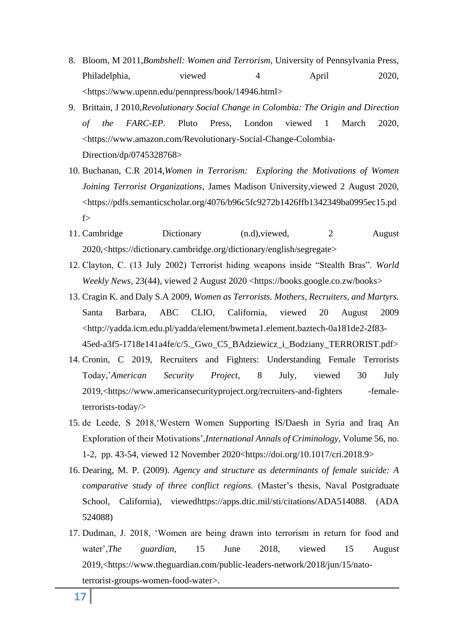- 8. Bloom, M 2011,*Bombshell: Women and Terrorism,* University of Pennsylvania Press, Philadelphia, viewed 4 April 2020, [<https://www.upenn.edu/pennpress/book/14946.html>](https://www.upenn.edu/pennpress/book/14946.html)
- 9. Brittain, J 2010,*Revolutionary Social Change in Colombia: The Origin and Direction of the FARC-EP.* Pluto Press, London viewed 1 March 2020, <https://www.amazon.com/Revolutionary-Social-Change-Colombia-Direction/dp/0745328768>
- 10. Buchanan, C.R 2014,*Women in Terrorism: Exploring the Motivations of Women Joining Terrorist Organizations,* James Madison University,viewed 2 August 2020, [<https://pdfs.semanticscholar.org/4076/b96c5fc9272b1426ffb1342349ba0995ec15.pd](https://pdfs.semanticscholar.org/4076/b96c5fc9272b1426ffb1342349ba0995ec15.pdf) [f>](https://pdfs.semanticscholar.org/4076/b96c5fc9272b1426ffb1342349ba0995ec15.pdf)
- 11. Cambridge Dictionary (n.d), viewed, 2 August 2020,[<https://dictionary.cambridge.org/dictionary/english/segregate>](https://dictionary.cambridge.org/dictionary/english/segregate)
- 12. Clayton, C. (13 July 2002) Terrorist hiding weapons inside "Stealth Bras". *World Weekly News*, 23(44), viewed 2 August 2020 [<https://books.google.co.zw/books>](https://books.google.co.zw/books)
- 13. Cragin K. and Daly S.A 2009, *Women as Terrorists. Mothers, Recruiters, and Martyrs.* Santa Barbara, ABC CLIO, California, viewed 20 August 2009 <http://yadda.icm.edu.pl/yadda/element/bwmeta1.element.baztech-0a181de2-2f83- 45ed-a3f5-1718e141a4fe/c/5.\_Gwo\_C5\_BAdziewicz\_i\_Bodziany\_TERRORIST.pdf>
- 14. Cronin, C 2019, Recruiters and Fighters: Understanding Female Terrorists Today,'*American Security Project*, 8 July, viewed 30 July 2019,<https://www.americansecurityproject.org/recruiters-and-fighters -femaleterrorists-today/>
- 15. de Leede, S 2018,'Western Women Supporting IS/Daesh in Syria and Iraq An Exploration of their Motivations',*International Annals of Criminology*, Volume 56, no. 1-2, pp. 43-54, viewed 12 November 2020<https://doi.org/10.1017/cri.2018.9>
- 16. Dearing, M. P. (2009). *Agency and structure as determinants of female suicide: A comparative study of three conflict regions.* (Master's thesis, Naval Postgraduate School, California), viewe[dhttps://apps.dtic.mil/sti/citations/ADA514088.](https://apps.dtic.mil/sti/citations/ADA514088) (ADA 524088)
- 17. Dudman, J. 2018, 'Women are being drawn into terrorism in return for food and water',*The guardian*, 15 June 2018, viewed 15 August 2019,[<https://www.theguardian.com/public-leaders-network/2018/jun/15/nato](https://www.theguardian.com/public-leaders-network/2018/jun/15/nato-terrorist-groups-women-food-water)[terrorist-groups-women-food-water>](https://www.theguardian.com/public-leaders-network/2018/jun/15/nato-terrorist-groups-women-food-water).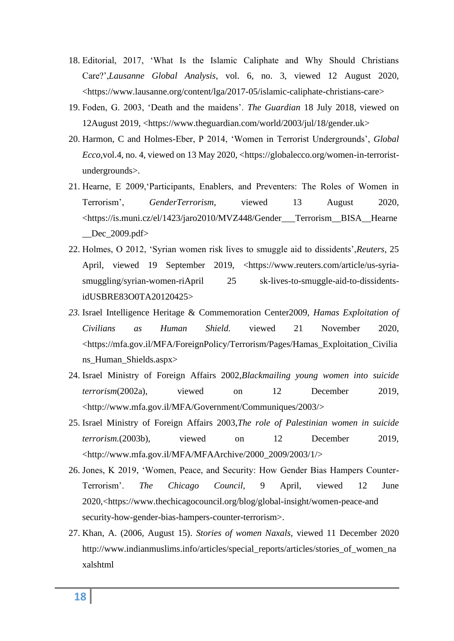- 18. Editorial, 2017, 'What Is the Islamic Caliphate and Why Should Christians Care?',*Lausanne Global Analysis*, vol. 6, no. 3, viewed 12 August 2020, [<https://www.lausanne.org/content/lga/2017-05/islamic-caliphate-christians-care>](https://www.lausanne.org/content/lga/2017-05/islamic-caliphate-christians-care)
- 19. Foden, G. 2003, 'Death and the maidens'. *The Guardian* 18 July 2018, viewed on 12August 2019, [<https://www.theguardian.com/world/2003/jul/18/gender.uk>](https://www.theguardian.com/world/2003/jul/18/gender.uk)
- 20. Harmon, C and Holmes-Eber, P 2014, 'Women in Terrorist Undergrounds', *Global Ecco,*vol.4, no. 4, viewed on 13 May 2020, [<https://globalecco.org/women-in-terrorist](https://globalecco.org/women-in-terrorist-undergrounds)[undergrounds>](https://globalecco.org/women-in-terrorist-undergrounds).
- 21. Hearne, E 2009,'Participants, Enablers, and Preventers: The Roles of Women in Terrorism', *GenderTerrorism*, viewed 13 August 2020, <https://is.muni.cz/el/1423/jaro2010/MVZ448/Gender\_\_\_Terrorism\_\_BISA\_\_Hearne \_\_Dec\_2009.pdf>
- 22. Holmes, O 2012, 'Syrian women risk lives to smuggle aid to dissidents',*Reuters,* 25 April, viewed 19 September 2019, <https://www.reuters.com/article/us-syriasmuggling/syrian-women-riApril 25 sk-lives-to-smuggle-aid-to-dissidentsidUSBRE83O0TA20120425>
- *23.* Israel Intelligence Heritage & Commemoration Center2009, *Hamas Exploitation of Civilians as Human Shield.* viewed 21 November 2020, <https://mfa.gov.il/MFA/ForeignPolicy/Terrorism/Pages/Hamas\_Exploitation\_Civilia ns\_Human\_Shields.aspx>
- 24. Israel Ministry of Foreign Affairs 2002,*Blackmailing young women into suicide terrorism*(2002a), viewed on 12 December 2019, [<http://www.mfa.gov.il/MFA/Government/Communiques/2003/>](http://www.mfa.gov.il/MFA/Government/Communiques/2003/)
- 25. Israel Ministry of Foreign Affairs 2003,*The role of Palestinian women in suicide terrorism.*(2003b), viewed on 12 December 2019, <http://www.mfa.gov.il/MFA/MFAArchive/2000\_2009/2003/1/>
- 26. Jones, K 2019, 'Women, Peace, and Security: How Gender Bias Hampers Counter-Terrorism'. *The Chicago Council,* 9 April, viewed 12 June 2020,[<https://www.thechicagocouncil.org/blog/global-insight/women-peace-and](https://www.thechicagocouncil.org/blog/global-insight/women-peace-and) security-how-gender-bias-hampers-counter-terrorism>.
- 27. Khan, A. (2006, August 15). *Stories of women Naxals,* viewed 11 December 2020 http://www.indianmuslims.info/articles/special\_reports/articles/stories\_of\_women\_na xalshtml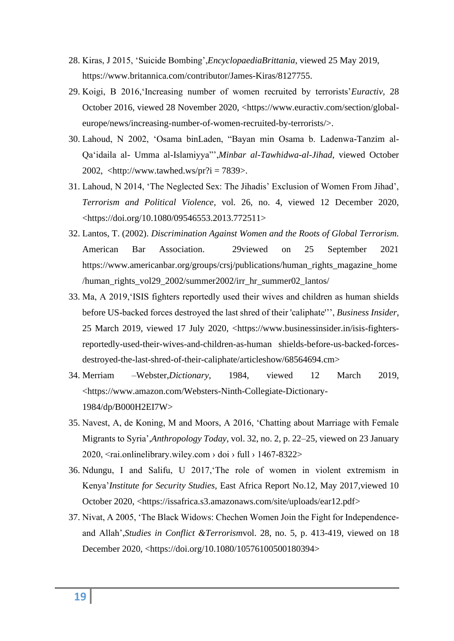- 28. Kiras, J 2015, 'Suicide Bombing',*EncyclopaediaBrittania*, viewed 25 May 2019, [https://www.britannica.com/contributor/James-Kiras/8127755.](https://www.britannica.com/contributor/James-Kiras/8127755)
- 29. Koigi, B 2016,'Increasing number of women recruited by terrorists'*Euractiv,* 28 October 2016, viewed 28 November 2020, [<https://www.euractiv.com/section/global](https://www.euractiv.com/section/global-europe/news/increasing-number-of-women-recruited-by-terrorists/)[europe/news/increasing-number-of-women-recruited-by-terrorists/>](https://www.euractiv.com/section/global-europe/news/increasing-number-of-women-recruited-by-terrorists/).
- 30. Lahoud, N 2002, 'Osama binLaden, "Bayan min Osama b. Ladenwa-Tanzim al-Qa'idaila al- Umma al-Islamiyya"',*Minbar al-Tawhidwa-al-Jihad*, viewed October 2002, <http://www.tawhed.ws/pr?i = 7839>.
- 31. Lahoud, N 2014, 'The Neglected Sex: The Jihadis' Exclusion of Women From Jihad', *Terrorism and Political Violence*, vol. 26, no. 4, viewed 12 December 2020, <https://doi.org/10.1080/09546553.2013.772511>
- 32. Lantos, T. (2002). *Discrimination Against Women and the Roots of Global Terrorism.* American Bar Association. 29viewed on 25 September 2021 https://www.americanbar.org/groups/crsj/publications/human\_rights\_magazine\_home /human\_rights\_vol29\_2002/summer2002/irr\_hr\_summer02\_lantos/
- 33. Ma, A 2019,'ISIS fighters reportedly used their wives and children as human shields before US-backed forces destroyed the last shred of their 'caliphate''', *Business Insider*, 25 March 2019, viewed 17 July 2020, [<https://www.businessinsider.in/isis-fighters](https://www.businessinsider.in/isis-fighters-reportedly-used-their-wives-and-children-as-human%20shields-before-us-backed-forces-destroyed-the-last-shred-of-their-caliphate/articleshow/68564694.cm)[reportedly-used-their-wives-and-children-as-human shields-before-us-backed-forces](https://www.businessinsider.in/isis-fighters-reportedly-used-their-wives-and-children-as-human%20shields-before-us-backed-forces-destroyed-the-last-shred-of-their-caliphate/articleshow/68564694.cm)[destroyed-the-last-shred-of-their-caliphate/articleshow/68564694.cm>](https://www.businessinsider.in/isis-fighters-reportedly-used-their-wives-and-children-as-human%20shields-before-us-backed-forces-destroyed-the-last-shred-of-their-caliphate/articleshow/68564694.cm)
- 34. Merriam –Webster,*Dictionary*, 1984, viewed 12 March 2019, [<https://www.amazon.com/Websters-Ninth-Collegiate-Dictionary-](https://www.amazon.com/Websters-Ninth-Collegiate-Dictionary-1984/dp/B000H2EI7W)[1984/dp/B000H2EI7W>](https://www.amazon.com/Websters-Ninth-Collegiate-Dictionary-1984/dp/B000H2EI7W)
- 35. Navest, A, de Koning, M and Moors, A 2016, 'Chatting about Marriage with Female Migrants to Syria',*Anthropology Today*, vol. 32, no. 2, p. 22–25, viewed on 23 January 2020,  $\langle$ rai.onlinelibrary.wiley.com > doi > full > 1467-8322>
- 36. Ndungu, I and Salifu, U 2017,'The role of women in violent extremism in Kenya'*Institute for Security Studies,* East Africa Report No.12, May 2017,viewed 10 October 2020, [<https://issafrica.s3.amazonaws.com/site/uploads/ear12.pdf>](https://issafrica.s3.amazonaws.com/site/uploads/ear12.pdf)
- 37. Nivat, A 2005, 'The Black Widows: Chechen Women Join the Fight for Independenceand Allah',*Studies in Conflict &Terrorism*vol. 28, no. 5, p. 413-419, viewed on 18 December 2020, [<https://doi.org/10.1080/10576100500180394>](https://doi.org/10.1080/10576100500180394)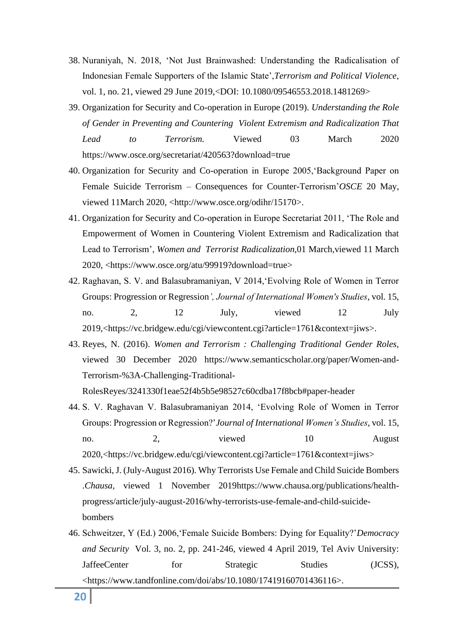- 38. Nuraniyah, N. 2018, 'Not Just Brainwashed: Understanding the Radicalisation of Indonesian Female Supporters of the Islamic State',*Terrorism and Political Violence*, vol. 1, no. 21, viewed 29 June 2019,<DOI: 10.1080/09546553.2018.1481269>
- 39. Organization for Security and Co-operation in Europe (2019). *Understanding the Role of Gender in Preventing and Countering Violent Extremism and Radicalization That Lead to Terrorism.* Viewed 03 March 2020 https://www.osce.org/secretariat/420563?download=true
- 40. Organization for Security and Co-operation in Europe 2005,'Background Paper on Female Suicide Terrorism – Consequences for Counter-Terrorism'*OSCE* 20 May, viewed 11March 2020, [<http://www.osce.org/odihr/15170>](http://www.osce.org/odihr/15170).
- 41. Organization for Security and Co-operation in Europe Secretariat 2011, 'The Role and Empowerment of Women in Countering Violent Extremism and Radicalization that Lead to Terrorism', *Women and Terrorist Radicalization,*01 March*,*viewed 11 March 2020, [<https://www.osce.org/atu/99919?download=true>](https://www.osce.org/atu/99919?download=true)
- 42. Raghavan, S. V. and Balasubramaniyan, V 2014,'Evolving Role of Women in Terror Groups: Progression or Regression*', Journal of International Women's Studies*, vol. 15, no. 2, 12 July, viewed 12 July 2019,[<https://vc.bridgew.edu/cgi/viewcontent.cgi?article=1761&context=jiws>](https://vc.bridgew.edu/cgi/viewcontent.cgi?article=1761&context=jiws).
- 43. Reyes, N. (2016). *Women and Terrorism : Challenging Traditional Gender Roles,*  viewed 30 December 2020 [https://www.semanticscholar.org/paper/Women-and-](https://www.semanticscholar.org/paper/Women-and-Terrorism-%3A-Challenging-Traditional-Roles)[Terrorism-%3A-Challenging-Traditional-](https://www.semanticscholar.org/paper/Women-and-Terrorism-%3A-Challenging-Traditional-Roles)

[RolesR](https://www.semanticscholar.org/paper/Women-and-Terrorism-%3A-Challenging-Traditional-Roles)eyes/3241330f1eae52f4b5b5e98527c60cdba17f8bcb#paper-header

- 44. S. V. Raghavan V. Balasubramaniyan 2014, 'Evolving Role of Women in Terror Groups: Progression or Regression?'*Journal of International Women's Studies*, vol. 15, no. 2, viewed 10 August 2020,[<https://vc.bridgew.edu/cgi/viewcontent.cgi?article=1761&context=jiws>](https://vc.bridgew.edu/cgi/viewcontent.cgi?article=1761&context=jiws)
- 45. Sawicki, J. (July-August 2016). Why Terrorists Use Female and Child Suicide Bombers .*Chausa,* viewed 1 November 201[9https://www.chausa.org/publications/health](https://www.chausa.org/publications/health-progress/article/july-august-2016/why-terrorists-use-female-and-child-suicide-bombers)[progress/article/july-august-2016/why-terrorists-use-female-and-child-suicide](https://www.chausa.org/publications/health-progress/article/july-august-2016/why-terrorists-use-female-and-child-suicide-bombers)[bombers](https://www.chausa.org/publications/health-progress/article/july-august-2016/why-terrorists-use-female-and-child-suicide-bombers)
- 46. Schweitzer, Y (Ed.) 2006,'Female Suicide Bombers: Dying for Equality?'*Democracy and Security* Vol. 3, no. 2, pp. 241-246, viewed 4 April 2019, Tel Aviv University: JaffeeCenter for Strategic Studies (JCSS), <https://www.tandfonline.com/doi/abs/10.1080/17419160701436116>.